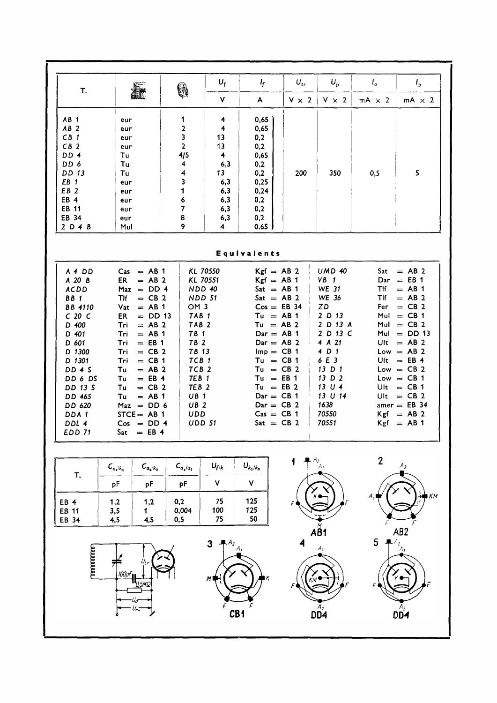| T.                                                                                                                                                                                                                              | <b>Asset</b>                                                                                                                                                                                                                                                                                                                                                      | 6                                                                                                 | $U_f$                                                                                                                                                                                                                                                                                                          | I <sub>f</sub>                                                                                | $U_{tr}$                                                                                                                                                                                                                                                                                                                                                                                                                                                                                      | $U_{p}$                                                            | $I_{o}$                                                                                                                                                                                                                                                                                                           | $I_{\rm p}$                                                       |
|---------------------------------------------------------------------------------------------------------------------------------------------------------------------------------------------------------------------------------|-------------------------------------------------------------------------------------------------------------------------------------------------------------------------------------------------------------------------------------------------------------------------------------------------------------------------------------------------------------------|---------------------------------------------------------------------------------------------------|----------------------------------------------------------------------------------------------------------------------------------------------------------------------------------------------------------------------------------------------------------------------------------------------------------------|-----------------------------------------------------------------------------------------------|-----------------------------------------------------------------------------------------------------------------------------------------------------------------------------------------------------------------------------------------------------------------------------------------------------------------------------------------------------------------------------------------------------------------------------------------------------------------------------------------------|--------------------------------------------------------------------|-------------------------------------------------------------------------------------------------------------------------------------------------------------------------------------------------------------------------------------------------------------------------------------------------------------------|-------------------------------------------------------------------|
|                                                                                                                                                                                                                                 |                                                                                                                                                                                                                                                                                                                                                                   |                                                                                                   | V                                                                                                                                                                                                                                                                                                              | $\mathsf{A}$                                                                                  | $V \times 2$                                                                                                                                                                                                                                                                                                                                                                                                                                                                                  | $V \times 2$                                                       | $mA \times 2$                                                                                                                                                                                                                                                                                                     | $mA \times 2$                                                     |
| $AB$ 1<br>$AB$ 2<br>$CB$ 1<br>CB <sub>2</sub><br>DD 4<br>DD 6<br>DD 13<br>EB <sub>1</sub><br>EB <sub>2</sub><br>EB <sub>4</sub><br><b>EB 11</b><br>EB 34<br>2D4B                                                                | eur<br>eur<br>eur<br>eur<br>Tu<br>Tu<br>Tu<br>eur<br>eur<br>eur<br>eur<br>eur<br>Mul                                                                                                                                                                                                                                                                              | 1<br>$\mathbf 2$<br>3<br>$\mathbf{2}$<br>4/5<br>4<br>4<br>3<br>1<br>6<br>$\overline{7}$<br>8<br>9 | 4<br>4<br>13<br>13<br>$\overline{\mathbf{4}}$<br>6,3<br>13 <sub>1</sub><br>6,3<br>6,3<br>6,3<br>6,3<br>6,3<br>4                                                                                                                                                                                                | 0,65<br>0,65<br>0,2<br>0,2<br>0,65<br>0,2<br>0,2<br>0,25<br>0,24<br>0,2<br>0,2<br>0,2<br>0.65 | 200                                                                                                                                                                                                                                                                                                                                                                                                                                                                                           | 350                                                                | 0,5                                                                                                                                                                                                                                                                                                               | 5                                                                 |
| Equivalents                                                                                                                                                                                                                     |                                                                                                                                                                                                                                                                                                                                                                   |                                                                                                   |                                                                                                                                                                                                                                                                                                                |                                                                                               |                                                                                                                                                                                                                                                                                                                                                                                                                                                                                               |                                                                    |                                                                                                                                                                                                                                                                                                                   |                                                                   |
| A 4 DD<br>A 20 B<br><b>ACDD</b><br>BB <sub>1</sub><br><b>BB</b> 4110<br>$C$ 20 $C$<br>D 400<br>D 401<br>D 601<br>D 1300<br>D 1301<br><b>DD 4 S</b><br>DD 6 DS<br>DD 13 S<br>DD 465<br>DD 620<br>DDA 1<br>DDL 4<br><b>EDD 71</b> | $\text{Cas} = \text{AB} 1$<br>$= AB2$<br><b>ER</b><br>$Max = DD 4$<br>$=$ CB 2<br>TIf<br>$=$ AB 1<br>Vat<br>$=$ DD 13<br>ER<br>$= AB2$<br>Tri<br>$=$ AB 1<br>Tri<br>$=$ EB 1<br>Tri<br>$=$ CB 2<br>Tri<br>$=$ CB 1<br>Tri<br>$= AB2$<br>Τu<br>$=$ EB 4<br>Tu<br>$=$ CB 2<br>Tu<br>$=$ AB 1<br>Tu<br>$Max = DD 6$<br>$STCE = AB 1$<br>$Cos = DD 4$<br>$Sat = EB 4$ |                                                                                                   | KL 70550<br>KL 70551<br>NDD 40<br><b>NDD 51</b><br>OM <sub>3</sub><br>TAB <sub>1</sub><br>TAB <sub>2</sub><br>TB <sub>1</sub><br>TB <sub>2</sub><br>TB 13<br>TCB <sub>1</sub><br>TCB <sub>2</sub><br>TEB <sub>1</sub><br>TEB <sub>2</sub><br>UB <sub>1</sub><br>UB <sub>2</sub><br><b>UDD</b><br><b>UDD 51</b> |                                                                                               | <b>UMD 40</b><br>$Kgf = AB$ 2<br>$Kgf = AB 1$<br>$VB$ 1<br><b>WE 31</b><br>$Sat = AB 1$<br>WE 36<br>$Sat = AB 2$<br>ZD<br>$Cos = EB$ 34<br>2D13<br>$Tu = AB 1$<br>2 D 13 A<br>$Tu = AB$ 2<br>2 D 13 C<br>$Dar = AB 1$<br>4 A 21<br>$Dar = AB 2$<br>4 D 1<br>$Imp = CB 1$<br>6 E 3<br>$Tu = CB 1$<br>13 D 1<br>$Tu = CB$ 2<br>$Tu = EB 1$<br>13 D 2<br>13 U 4<br>$Tu = EB2$<br>13 U 14<br>$Dar = CB 1$<br>1638<br>$Dar = CB 2$<br>70550<br>$\text{Cas} = \text{CB} 1$<br>70551<br>$Sat = CB$ 2 |                                                                    | Sat<br>$= AB$ 2<br>$Dar = EB 1$<br>Tlf<br>$=$ AB 1<br>Tlf<br>$=$ AB 2<br>$=$ CB 2<br>Fer<br>Mul<br>$=$ CB 1<br>$Mul = CB 2$<br>$Mul = DD 13$<br>Ult $=$ AB 2<br>$Low = AB 2$<br>Ult $=$ EB 4<br>$Low = CB 2$<br>$Low = CB 1$<br>Ult $=$ CB 1<br>Ult<br>$=$ CB 2<br>amer $=$ EB 34<br>$Kgf = AB 2$<br>$Kgf = AB 1$ |                                                                   |
| T.<br>EB 4<br>EB 11<br>EB 34                                                                                                                                                                                                    | $C_{a_2/k_2}$<br>$\mathcal{L}_{a_1/k_1}$<br>pF<br>pF<br>1,2<br>1,2<br>3,5<br>1.<br>4,5<br>4,5                                                                                                                                                                                                                                                                     | $\textit{\textsf{C}}_{a_{1}/a_{2}}$<br>pF<br>0,2<br>0,004<br>0,5                                  | $U_{f/k}$<br>V<br>75<br>100<br>75                                                                                                                                                                                                                                                                              | $U_{k_1/k_2}$<br>$\pmb{\mathsf{V}}$<br>125<br>125<br>50                                       | 1                                                                                                                                                                                                                                                                                                                                                                                                                                                                                             | $A_2$ <sub>A</sub>                                                 | $\boldsymbol{2}$                                                                                                                                                                                                                                                                                                  | $\boldsymbol{A}_2$<br>$\blacksquare$ $\kappa$ $\kappa$            |
| 100000000                                                                                                                                                                                                                       | 100pF<br>0.5MS                                                                                                                                                                                                                                                                                                                                                    |                                                                                                   | 3<br>$A_2$ <sub>A,</sub><br>M١<br>CB <sub>1</sub>                                                                                                                                                                                                                                                              | lκ                                                                                            | 4                                                                                                                                                                                                                                                                                                                                                                                                                                                                                             | $A\overset{\circ}{B}1$<br>Α,<br>$\mathbf{D} \mathbf{D} \mathbf{A}$ | 5<br>$A_2$                                                                                                                                                                                                                                                                                                        | AB <sub>2</sub><br>$K$ $\bullet$<br>$D\overset{A_2}{\mathbf{D4}}$ |